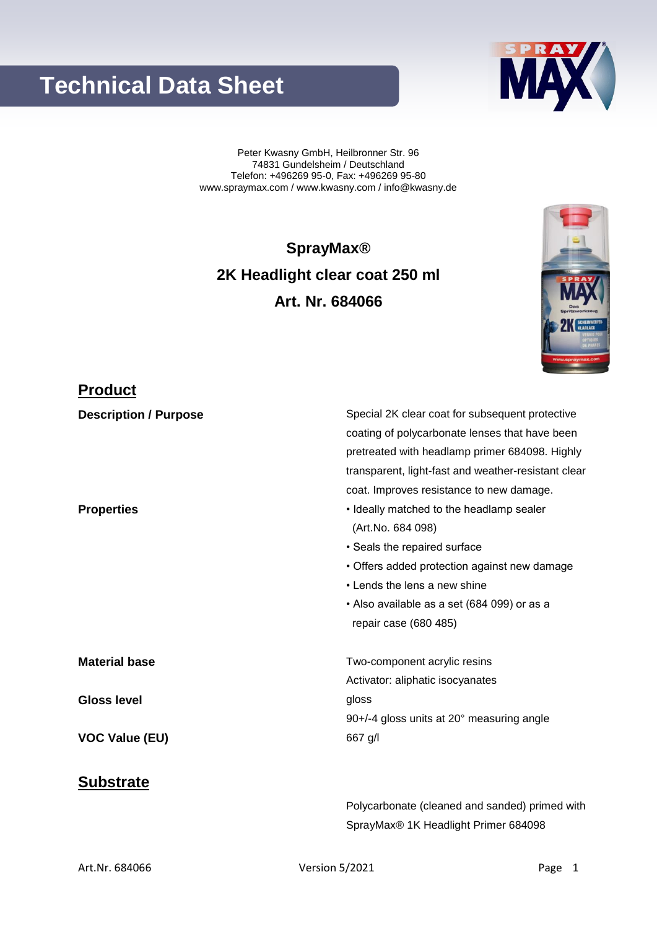### Art.Nr. 684066 **Version 5/2021** Page 1

# **Technical Data Sheet**

Peter Kwasny GmbH, Heilbronner Str. 96 74831 Gundelsheim / Deutschland Telefon: +496269 95-0, Fax: +496269 95-80 www.spraymax.com / www.kwasny.com / info@kwasny.de

**SprayMax® 2K Headlight clear coat 250 ml Art. Nr. 684066**

## **Product**

| <b>Description / Purpose</b> | Special 2K clear coat for subsequent protective     |
|------------------------------|-----------------------------------------------------|
|                              | coating of polycarbonate lenses that have been      |
|                              | pretreated with headlamp primer 684098. Highly      |
|                              | transparent, light-fast and weather-resistant clear |
|                              | coat. Improves resistance to new damage.            |
| <b>Properties</b>            | • Ideally matched to the headlamp sealer            |
|                              | (Art.No. 684 098)                                   |
|                              | • Seals the repaired surface                        |
|                              | • Offers added protection against new damage        |
|                              | • Lends the lens a new shine                        |
|                              | • Also available as a set (684 099) or as a         |
|                              | repair case (680 485)                               |
| <b>Material base</b>         | Two-component acrylic resins                        |
|                              | Activator: aliphatic isocyanates                    |
| <b>Gloss level</b>           | gloss                                               |
|                              | 90+/-4 gloss units at 20° measuring angle           |
| <b>VOC Value (EU)</b>        | 667 g/l                                             |
| <b>Substrate</b>             |                                                     |

Polycarbonate (cleaned and sanded) primed with

SprayMax® 1K Headlight Primer 684098



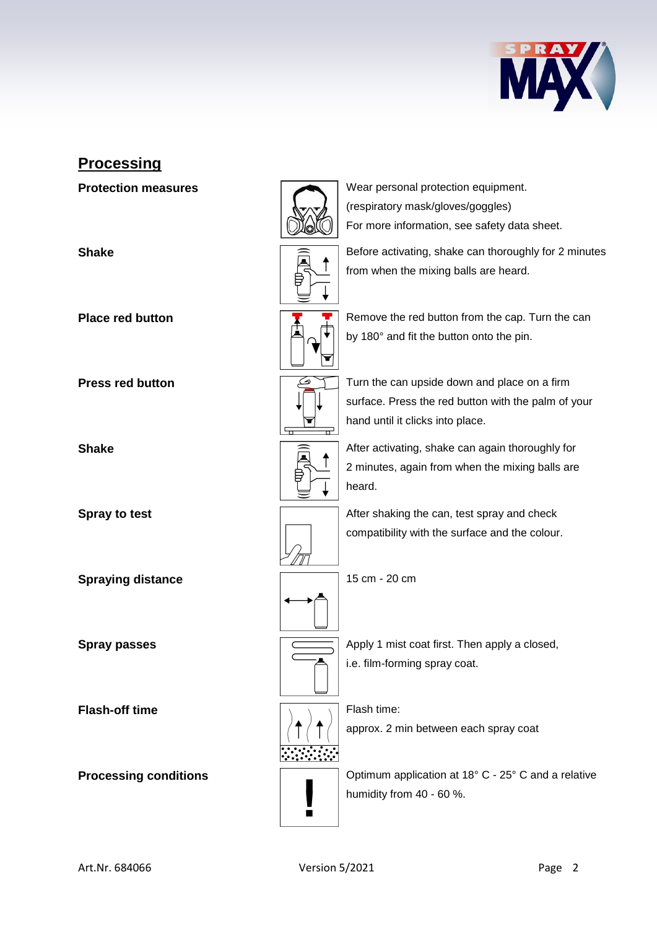

### **Processing**

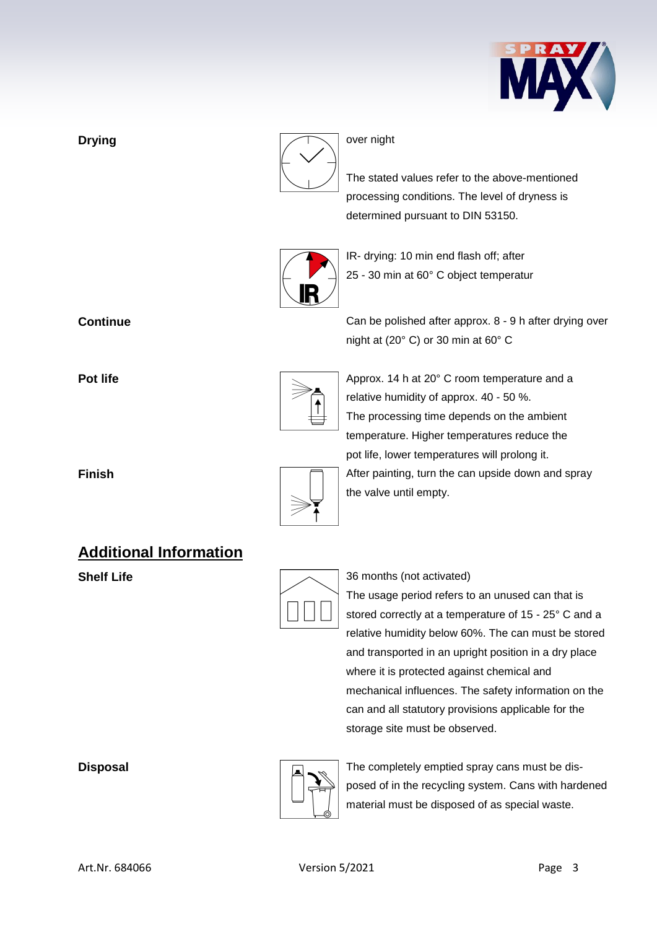



The stated values refer to the above-mentioned processing conditions. The level of dryness is determined pursuant to DIN 53150.



IR- drying: 10 min end flash off; after 25 - 30 min at 60° C object temperatur

**Continue** Can be polished after approx. 8 - 9 h after drying over night at (20° C) or 30 min at 60° C



**Pot life Pot life** Approx. 14 h at 20° C room temperature and a relative humidity of approx. 40 - 50 %. The processing time depends on the ambient temperature. Higher temperatures reduce the pot life, lower temperatures will prolong it. **Finish Finish After painting, turn the can upside down and spray** the valve until empty.



The usage period refers to an unused can that is stored correctly at a temperature of 15 - 25° C and a relative humidity below 60%. The can must be stored and transported in an upright position in a dry place where it is protected against chemical and mechanical influences. The safety information on the can and all statutory provisions applicable for the storage site must be observed.

**Disposal Disposal The completely emptied spray cans must be dis**posed of in the recycling system. Cans with hardened material must be disposed of as special waste.

### **Additional Information**

**Shelf Life** 36 months (not activated)